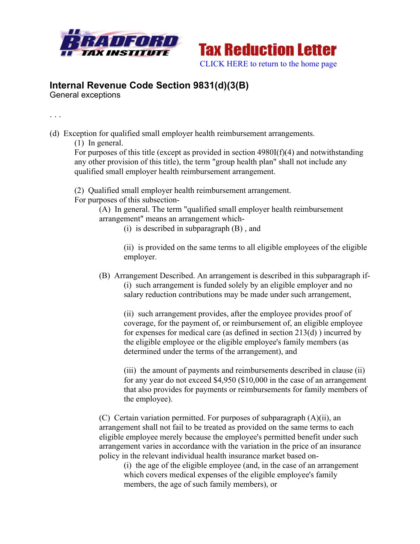



## **Internal Revenue Code Section 9831(d)(3(B)**

General exceptions

. . .

- (d) Exception for qualified small employer health reimbursement arrangements.
	- (1) In general.

For purposes of this title (except as provided in section 4980I(f)(4) and notwithstanding any other provision of this title), the term "group health plan" shall not include any qualified small employer health reimbursement arrangement.

(2) Qualified small employer health reimbursement arrangement. For purposes of this subsection-

> (A) In general. The term "qualified small employer health reimbursement arrangement" means an arrangement which-

(i) is described in subparagraph (B) , and

(ii) is provided on the same terms to all eligible employees of the eligible employer.

(B) Arrangement Described. An arrangement is described in this subparagraph if- (i) such arrangement is funded solely by an eligible employer and no salary reduction contributions may be made under such arrangement,

(ii) such arrangement provides, after the employee provides proof of coverage, for the payment of, or reimbursement of, an eligible employee for expenses for medical care (as defined in section 213(d) ) incurred by the eligible employee or the eligible employee's family members (as determined under the terms of the arrangement), and

(iii) the amount of payments and reimbursements described in clause (ii) for any year do not exceed \$4,950 (\$10,000 in the case of an arrangement that also provides for payments or reimbursements for family members of the employee).

(C) Certain variation permitted. For purposes of subparagraph (A)(ii), an arrangement shall not fail to be treated as provided on the same terms to each eligible employee merely because the employee's permitted benefit under such arrangement varies in accordance with the variation in the price of an insurance policy in the relevant individual health insurance market based on-

(i) the age of the eligible employee (and, in the case of an arrangement which covers medical expenses of the eligible employee's family members, the age of such family members), or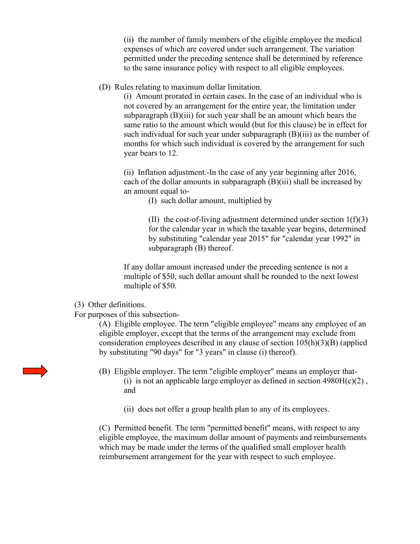(ii) the number of family members of the eligible employee the medical expenses of which are covered under such arrangement. The variation permitted under the preceding sentence shall be determined by reference to the same insurance policy with respect to all eligible employees.

## (D) Rules relating to maximum dollar limitation.

(i) Amount prorated in certain cases. In the case of an individual who is not covered by an arrangement for the entire year, the limitation under subparagraph (B)(iii) for such year shall be an amount which bears the same ratio to the amount which would (but for this clause) be in effect for such individual for such year under subparagraph (B)(iii) as the number of months for which such individual is covered by the arrangement for such year bears to 12.

(ii) Inflation adjustment.-In the case of any year beginning after 2016, each of the dollar amounts in subparagraph (B)(iii) shall be increased by an amount equal to-

(I) such dollar amount, multiplied by

(II) the cost-of-living adjustment determined under section  $1(f)(3)$ for the calendar year in which the taxable year begins, determined by substituting "calendar year 2015" for "calendar year 1992" in subparagraph (B) thereof.

If any dollar amount increased under the preceding sentence is not a multiple of \$50, such dollar amount shall be rounded to the next lowest multiple of \$50.

(3) Other definitions.

For purposes of this subsection-

(A) Eligible employee. The term "eligible employee" means any employee of an eligible employer, except that the terms of the arrangement may exclude from consideration employees described in any clause of section 105(h)(3)(B) (applied by substituting "90 days" for "3 years" in clause (i) thereof).

- (B) Eligible employer. The term "eligible employer" means an employer that- (i) is not an applicable large employer as defined in section  $4980H(c)(2)$ , and
	- (ii) does not offer a group health plan to any of its employees.

(C) Permitted benefit. The term "permitted benefit" means, with respect to any eligible employee, the maximum dollar amount of payments and reimbursements which may be made under the terms of the qualified small employer health reimbursement arrangement for the year with respect to such employee.